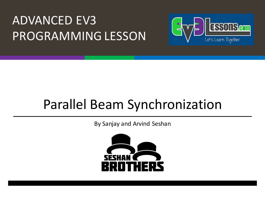#### **ADVANCED EV3** PROGRAMMING LESSON



#### Parallel Beam Synchronization

By Sanjay and Arvind Seshan

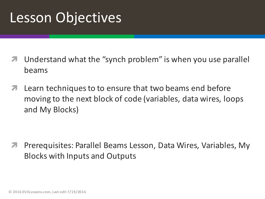#### Lesson Objectives

- Understand what the "synch problem" is when you use parallel beams
- $\blacktriangleright$  Learn techniques to to ensure that two beams end before moving to the next block of code (variables, data wires, loops and My Blocks)

Prerequisites: Parallel Beams Lesson, Data Wires, Variables, My Blocks with Inputs and Outputs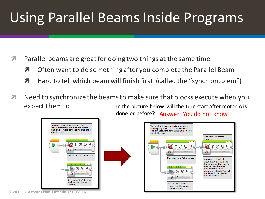## Using Parallel Beams Inside Programs

- $\blacktriangledown$  Parallel beams are great for doing two things at the same time
	- $\lambda$  Often want to do something after you complete the Parallel Beam
	- $\blacktriangledown$  Hard to tell which beam will finish first (called the "synch problem")
- $\blacktriangledown$  Need to synchronize the beams to make sure that blocks execute when you expect them to In the picture below, will the turn start after motor A is done or before? Answer: You do not know





**© 2016 EV3Lessons.com, Last edit 7/19/2016**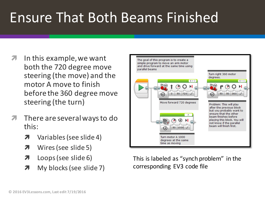## Ensure That Both Beams Finished

- In this example, we want both the 720 degree move steering (the move) and the motor A move to finish before the 360 degree move steering (the turn)
- $\sqrt{2}$  There are several ways to do this:
	- $\lambda$  Variables (see slide 4)
	- $\lambda$  Wires (see slide 5)
	- $\pi$  Loops (see slide 6)
	- **7** My blocks (see slide 7)



The goal of this program is to create a simple program to move an arm motor and drive forward at the same time using

parallel beams

This is labeled as "synch problem" in the corresponding EV3 code file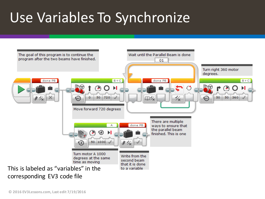## Use Variables To Synchronize

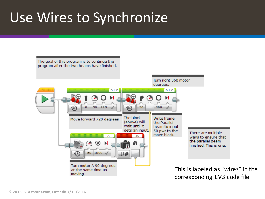#### Use Wires to Synchronize

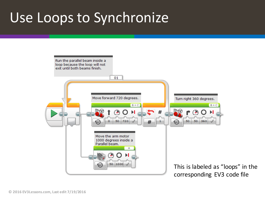#### Use Loops to Synchronize

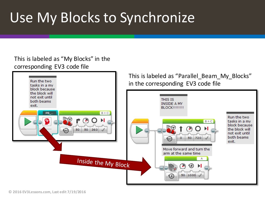## Use My Blocks to Synchronize

#### This is labeled as "My Blocks" in the corresponding EV3 code file

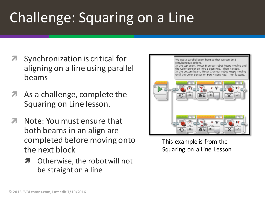# Challenge: Squaring on a Line

- Synchronization is critical for aligning on a line using parallel beams
- As a challenge, complete the Squaring on Line lesson.
- Note: You must ensure that both beams in an align are completed before moving onto the next block
	- **7** Otherwise, the robot will not be straight on a line



This example is from the Squaring on a Line Lesson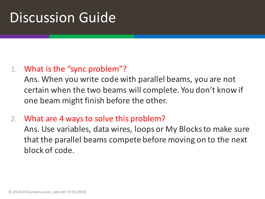#### **Discussion Guide**

#### 1. What is the "sync problem"?

Ans. When you write code with parallel beams, you are not certain when the two beams will complete. You don't know if one beam might finish before the other.

2. What are 4 ways to solve this problem?

Ans. Use variables, data wires, loops or My Blocks to make sure that the parallel beams compete before moving on to the next block of code.